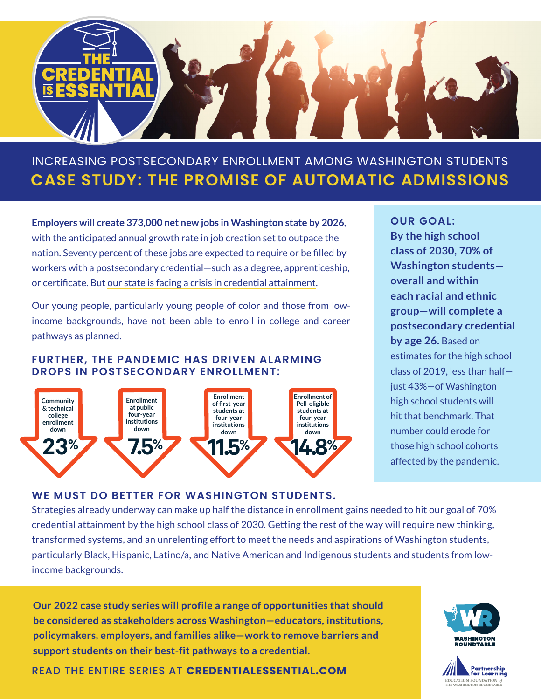

# **CASE STUDY: THE PROMISE OF AUTOMATIC ADMISSIONS** INCREASING POSTSECONDARY ENROLLMENT AMONG WASHINGTON STUDENTS

**Employers will create 373,000 net new jobs in Washington state by 2026**, with the anticipated annual growth rate in job creation set to outpace the nation. Seventy percent of these jobs are expected to require or be filled by workers with a postsecondary credential—such as a degree, apprenticeship, or certificate. But [our state is facing a crisis in credential attainment.](https://www.partnership4learning.org/wp-content/uploads/2022/02/WRT_PostsecondaryEnrollmentCrisis_Report_1.2022-FINAL.pdf)

Our young people, particularly young people of color and those from lowincome backgrounds, have not been able to enroll in college and career pathways as planned.

#### **FURTHER, THE PANDEMIC HAS DRIVEN ALARMING DROPS IN POSTSECONDARY ENROLLMENT:**



**OUR GOAL: By the high school class of 2030, 70% of Washington students overall and within each racial and ethnic group—will complete a postsecondary credential by age 26.** Based on estimates for the high school class of 2019, less than half just 43%—of Washington high school students will hit that benchmark. That number could erode for those high school cohorts affected by the pandemic.

#### **WE MUST DO BETTER FOR WASHINGTON STUDENTS.**

Strategies already underway can make up half the distance in enrollment gains needed to hit our goal of 70% credential attainment by the high school class of 2030. Getting the rest of the way will require new thinking, transformed systems, and an unrelenting effort to meet the needs and aspirations of Washington students, particularly Black, Hispanic, Latino/a, and Native American and Indigenous students and students from lowincome backgrounds.

**Our 2022 case study series will profile a range of opportunities that should be considered as stakeholders across Washington—educators, institutions, policymakers, employers, and families alike—work to remove barriers and support students on their best-fit pathways to a credential.** 

READ THE ENTIRE SERIES AT **[CREDENTIALESSENTIAL.COM](https://www.partnership4learning.org/credential-is-essential/)**



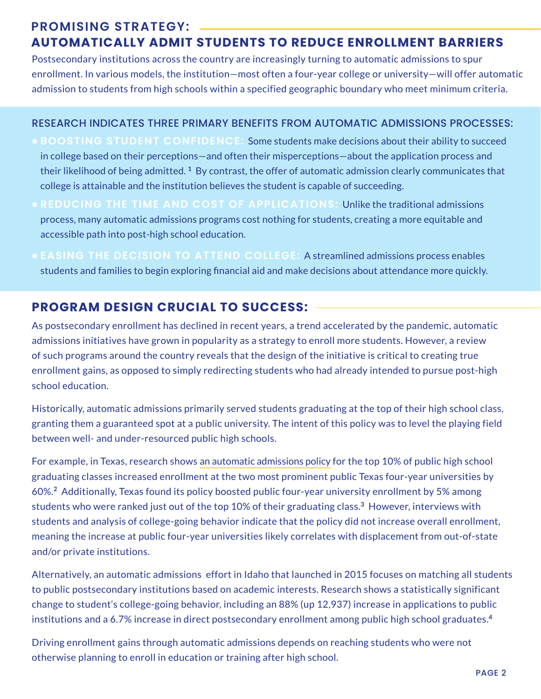## **PROMISING STRATEGY: AUTOMATICALLY ADMIT STUDENTS TO REDUCE ENROLLMENT BARRIERS**

Postsecondary institutions across the country are increasingly turning to automatic admissions to spur enrollment. In various models, the institution—most often a four-year college or university—will offer automatic admission to students from high schools within a specified geographic boundary who meet minimum criteria.

#### RESEARCH INDICATES THREE PRIMARY BENEFITS FROM AUTOMATIC ADMISSIONS PROCESSES:

- **BOOSTING STUDENT CONFIDENCE:** Some students make decisions about their ability to succeed in college based on their perceptions—and often their misperceptions—about the application process and their likelihood of being admitted. **<sup>1</sup>** By contrast, the offer of automatic admission clearly communicates that college is attainable and the institution believes the student is capable of succeeding.
- **REDUCING THE TIME AND COST OF APPLICATIONS:** Unlike the traditional admissions process, many automatic admissions programs cost nothing for students, creating a more equitable and accessible path into post-high school education.
- **EASING THE DECISION TO ATTEND COLLEGE:** A streamlined admissions process enables students and families to begin exploring financial aid and make decisions about attendance more quickly.

# **PROGRAM DESIGN CRUCIAL TO SUCCESS:**

As postsecondary enrollment has declined in recent years, a trend accelerated by the pandemic, automatic admissions initiatives have grown in popularity as a strategy to enroll more students. However, a review of such programs around the country reveals that the design of the initiative is critical to creating true enrollment gains, as opposed to simply redirecting students who had already intended to pursue post-high school education.

Historically, automatic admissions primarily served students graduating at the top of their high school class, granting them a guaranteed spot at a public university. The intent of this policy was to level the playing field between well- and under-resourced public high schools.

For example, in Texas, research shows [an automatic admissions policy](http://www.collegeforalltexans.com/index.cfm?objectid=24937C2A-D8B0-34EB-1FC5AF875A28C616) for the top 10% of public high school graduating classes increased enrollment at the two most prominent public Texas four-year universities by 60%.**<sup>2</sup>** Additionally, Texas found its policy boosted public four-year university enrollment by 5% among students who were ranked just out of the top 10% of their graduating class.**<sup>3</sup>** However, interviews with students and analysis of college-going behavior indicate that the policy did not increase overall enrollment, meaning the increase at public four-year universities likely correlates with displacement from out-of-state and/or private institutions.

Alternatively, an automatic admissions effort in Idaho that launched in 2015 focuses on matching all students to public postsecondary institutions based on academic interests. Research shows a statistically significant change to student's college-going behavior, including an 88% (up 12,937) increase in applications to public institutions and a 6.7% increase in direct postsecondary enrollment among public high school graduates.**<sup>4</sup>**

Driving enrollment gains through automatic admissions depends on reaching students who were not otherwise planning to enroll in education or training after high school.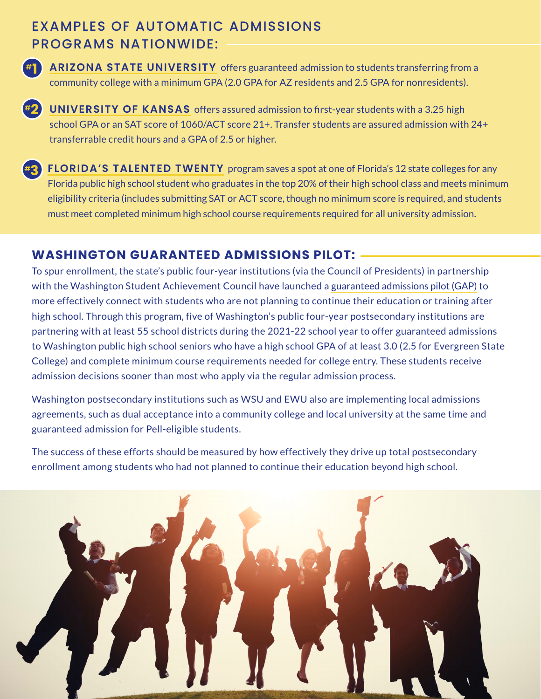# EXAMPLES OF AUTOMATIC ADMISSIONS PROGRAMS NATIONWIDE:



**#1 [ARIZONA STATE UNIVERSITY](https://admission.asu.edu/transfer/MyPath2ASU)** offers guaranteed admission to students transferring from a community college with a minimum GPA (2.0 GPA for AZ residents and 2.5 GPA for nonresidents).

**[UNIVERSITY OF KANSAS](https://admissions.ku.edu/apply)** offers assured admission to first-year students with a 3.25 high **#2** school GPA or an SAT score of 1060/ACT score 21+. Transfer students are assured admission with 24+ transferrable credit hours and a GPA of 2.5 or higher.

**[FLORIDA'S TALENTED TWENTY](https://www.fldoe.org/schools/family-community/activities-programs/talented-twenty-program/index.stml)** program saves a spot at one of Florida's 12 state colleges for any **#3** Florida public high school student who graduates in the top 20% of their high school class and meets minimum eligibility criteria (includes submitting SAT or ACT score, though no minimum score is required, and students must meet completed minimum high school course requirements required for all university admission.

## **WASHINGTON GUARANTEED ADMISSIONS PILOT:**

To spur enrollment, the state's public four-year institutions (via the Council of Presidents) in partnership with the Washington Student Achievement Council have launched a [guaranteed admissions pilot \(GAP\)](https://councilofpresidents.org/_admissions/) to more effectively connect with students who are not planning to continue their education or training after high school. Through this program, five of Washington's public four-year postsecondary institutions are partnering with at least 55 school districts during the 2021-22 school year to offer guaranteed admissions to Washington public high school seniors who have a high school GPA of at least 3.0 (2.5 for Evergreen State College) and complete minimum course requirements needed for college entry. These students receive admission decisions sooner than most who apply via the regular admission process.

Washington postsecondary institutions such as WSU and EWU also are implementing local admissions agreements, such as dual acceptance into a community college and local university at the same time and guaranteed admission for Pell-eligible students.

The success of these efforts should be measured by how effectively they drive up total postsecondary enrollment among students who had not planned to continue their education beyond high school.